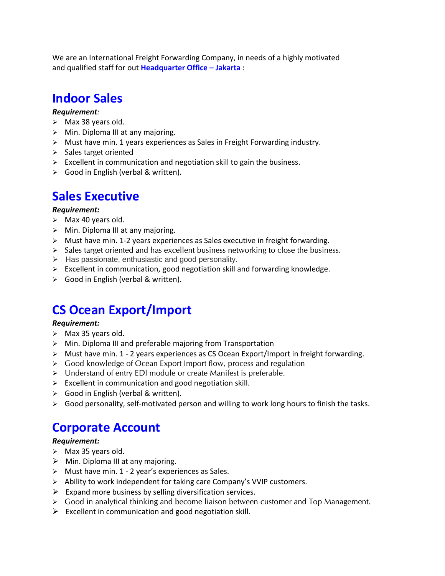We are an International Freight Forwarding Company, in needs of a highly motivated and qualified staff for out **Headquarter Office – Jakarta** :

# **Indoor Sales**

### *Requirement:*

- $\triangleright$  Max 38 years old.
- ➢ Min. Diploma III at any majoring.
- $\triangleright$  Must have min. 1 years experiences as Sales in Freight Forwarding industry.
- ➢ Sales target oriented
- $\triangleright$  Excellent in communication and negotiation skill to gain the business.
- ➢ Good in English (verbal & written).

## **Sales Executive**

#### *Requirement:*

- ➢ Max 40 years old.
- $\triangleright$  Min. Diploma III at any majoring.
- $\triangleright$  Must have min. 1-2 years experiences as Sales executive in freight forwarding.
- $\triangleright$  Sales target oriented and has excellent business networking to close the business.
- ➢ Has passionate, enthusiastic and good personality.
- $\triangleright$  Excellent in communication, good negotiation skill and forwarding knowledge.
- ➢ Good in English (verbal & written).

# **CS Ocean Export/Import**

#### *Requirement:*

- ➢ Max 35 years old.
- ➢ Min. Diploma III and preferable majoring from Transportation
- $\triangleright$  Must have min. 1 2 years experiences as CS Ocean Export/Import in freight forwarding.
- ➢ Good knowledge of Ocean Export Import flow, process and regulation
- ➢ Understand of entry EDI module or create Manifest is preferable.
- $\triangleright$  Excellent in communication and good negotiation skill.
- ➢ Good in English (verbal & written).
- ➢ Good personality, self-motivated person and willing to work long hours to finish the tasks.

## **Corporate Account**

### *Requirement:*

- $\triangleright$  Max 35 years old.
- $\triangleright$  Min. Diploma III at any majoring.
- ➢ Must have min. 1 2 year's experiences as Sales.
- $\triangleright$  Ability to work independent for taking care Company's VVIP customers.
- $\triangleright$  Expand more business by selling diversification services.
- $\triangleright$  Good in analytical thinking and become liaison between customer and Top Management.
- $\triangleright$  Excellent in communication and good negotiation skill.